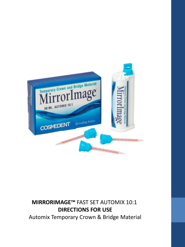

### **MIRRORIMAGE™** FAST SET AUTOMIX 10:1 **DIRECTIONS FOR USE**

Automix Temporary Crown & Bridge Material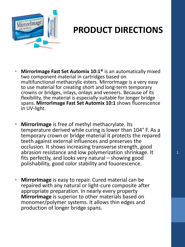

### **PRODUCT DIRECTIONS**

- **MirrorImage Fast Set Automix 10:1®** is an automatically mixed two component material in cartridges based on multifunctional methacrylic esters. MirrorImage is a very easy to use material for creating short and long-term temporary crowns or bridges, inlays, onlays and veneers. Because of its flexibility, the material is especially suitable for longer bridge spans. **MirrorImage Fast Set Automix 10:1** shows fluorescence in UV-light.
- **MirrorImage** is free of methyl methacrylate. Its temperature derived while curing is lower than 104° F. As a temporary crown or bridge material it protects the repared teeth against external influences and preserves the occlusion. It shows increasing transverse strength, good abrasion resistance and low polymerization shrinkage. It fits perfectly, and looks very natural – showing good polishability, good color stability and fouorescence.
- **MirrorImage** is easy to repair. Cured material can be repaired with any natural or light-cure composite after appropriate preparation. In nearly every property **MirrorImage** is superior to other materials based on monomer/polymer systems. It allows thin edges and production of longer bridge spans.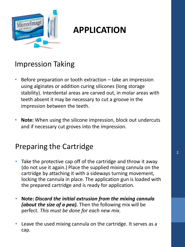

#### Impression Taking

- Before preparation or tooth extraction  $-$  take an impression using alginates or addition curing silicones (long storage stability). Interdental areas are carved out, in molar areas with teeth absent it may be necessary to cut a groove in the impression between the teeth.
- **Note:** When using the silicone impression, block out undercuts and if necessary cut groves into the impression.

#### Preparing the Cartridge

- Take the protective cap off of the cartridge and throw it away (do not use it again.) Place the supplied mixing cannula on the cartridge by attaching it with a sideways turning movement, locking the cannula in place. The application gun is loaded with the prepared cartridge and is ready for application.
- **Note:** *Discard the initial extrusion from the mixing cannula (about the size of a pea).* Then the following mix will be perfect. *This must be done for each new mix.*
- Leave the used mixing cannula on the cartridge. It serves as a cap.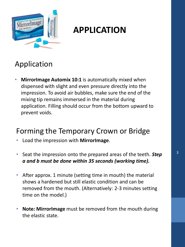

### Application

• **MirrorImage Automix 10:1** is automatically mixed when dispensed with slight and even pressure directly into the impression. To avoid air bubbles, make sure the end of the mixing tip remains immersed in the material during application. Filling should occur from the bottom upward to prevent voids.

#### Forming the Temporary Crown or Bridge

- Load the impression with **MirrorImage**.
- Seat the impression onto the prepared areas of the teeth. *Step a and b must be done within 35 seconds (working time).*
- After approx. 1 minute (setting time in mouth) the material shows a hardened but still elastic condition and can be removed from the mouth. (Alternatively: 2-3 minutes setting time on the model.)
- **Note: MirrorImage** must be removed from the mouth during the elastic state.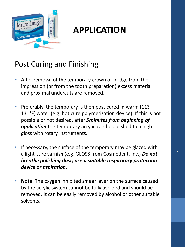

#### Post Curing and Finishing

- After removal of the temporary crown or bridge from the impression (or from the tooth preparation) excess material and proximal undercuts are removed.
- Preferably, the temporary is then post cured in warm (113- 131°F) water (e.g. hot cure polymerization device). If this is not possible or not desired, after *5minutes from beginning of application* the temporary acrylic can be polished to a high gloss with rotary instruments.
- If necessary, the surface of the temporary may be glazed with a light-cure varnish (e.g. GLOSS from Cosmedent, Inc.) *Do not breathe polishing dust; use a suitable respiratory protection device or aspiration.*
- **Note:** The oxygen inhibited smear layer on the surface caused by the acrylic system cannot be fully avoided and should be removed. It can be easily removed by alcohol or other suitable solvents.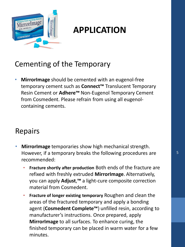

#### Cementing of the Temporary

• **MirrorImage** should be cemented with an eugenol-free temporary cement such as **Connect™** Translucent Temporary Resin Cement or **Adhere™** Non-Eugenol Temporary Cement from Cosmedent. Please refrain from using all eugenolcontaining cements.

#### Repairs

- **MirrorImage** temporaries show high mechanical strength. However, if a temporary breaks the following procedures are recommended:
	- **Fracture shortly after production** Both ends of the fracture are refixed with freshly extruded **MirrorImage**. Alternatively, you can apply **Adjust**,**™** a light-cure composite correction material from Cosmedent.
	- **Fracture of longer existing temporary** Roughen and clean the areas of the fractured temporary and apply a bonding agent (**Cosmedent Complete™**) unfilled resin, according to manufacturer's instructions. Once prepared, apply **MirrorImage** to all surfaces. To enhance curing, the finished temporary can be placed in warm water for a few minutes.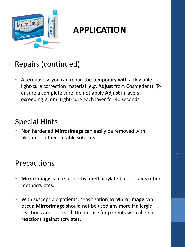

### Repairs (continued)

• Alternatively, you can repair the temporary with a flowable light-cure correction material (e.g. **Adjust** from Cosmedent). To ensure a complete cure, do not apply **Adjust** in layers exceeding 2 mm. Light-cure each layer for 40 seconds.

#### Special Hints

• Non hardened **MirrorImage** can easily be removed with alcohol or other suitable solvents.

#### Precautions

- **MirrorImage** is free of methyl methacrylate but contains other methacrylates.
- With susceptible patients, sensitization to **MirrorImage** can occur. **MirrorImage** should not be used any more if allergic reactions are observed. Do not use for patients with allergic reactions against acrylates.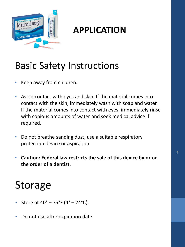

## Basic Safety Instructions

- Keep away from children.
- Avoid contact with eyes and skin. If the material comes into contact with the skin, immediately wash with soap and water. If the material comes into contact with eyes, immediately rinse with copious amounts of water and seek medical advice if required.
- Do not breathe sanding dust, use a suitable respiratory protection device or aspiration.
- **Caution: Federal law restricts the sale of this device by or on the order of a dentist.**

# Storage

- Store at  $40^{\circ} 75^{\circ}F (4^{\circ} 24^{\circ}C)$ .
- Do not use after expiration date.